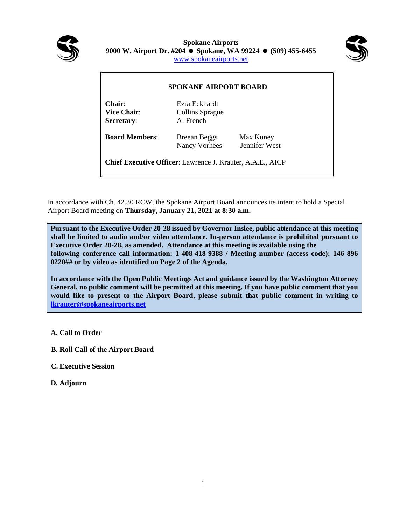

**Spokane Airports 9000 W. Airport Dr. #204 Spokane, WA 99224 (509) 455-6455** [www.spokaneairports.net](http://www.spokaneairports.net/)



| <b>SPOKANE AIRPORT BOARD</b>                                      |                                               |                            |
|-------------------------------------------------------------------|-----------------------------------------------|----------------------------|
| Chair:<br><b>Vice Chair:</b><br><b>Secretary:</b>                 | Ezra Eckhardt<br>Collins Sprague<br>Al French |                            |
| <b>Board Members:</b>                                             | <b>Breean Beggs</b><br>Nancy Vorhees          | Max Kuney<br>Jennifer West |
| <b>Chief Executive Officer:</b> Lawrence J. Krauter, A.A.E., AICP |                                               |                            |

In accordance with Ch. 42.30 RCW, the Spokane Airport Board announces its intent to hold a Special Airport Board meeting on **Thursday, January 21, 2021 at 8:30 a.m.**

**Executive Order 20-28, as amended. Attendance at this meeting is available using the** following conference call information: 1-408-418-9388 / Meeting number (access code): 146 896 **Pursuant to the Executive Order 20-28 issued by Governor Inslee, public attendance at this meeting shall be limited to audio and/or video attendance. In-person attendance is prohibited pursuant to 0220## or by video as identified on Page 2 of the Agenda.**

**In accordance with the Open Public Meetings Act and guidance issued by the Washington Attorney General, no public comment will be permitted at this meeting. If you have public comment that you would like to present to the Airport Board, please submit that public comment in writing to [lkrauter@spokaneairports.net](mailto:lkrauter@spokaneairports.net)**

**A. Call to Order**

- **B. Roll Call of the Airport Board**
- **C. Executive Session**
- **D. Adjourn**